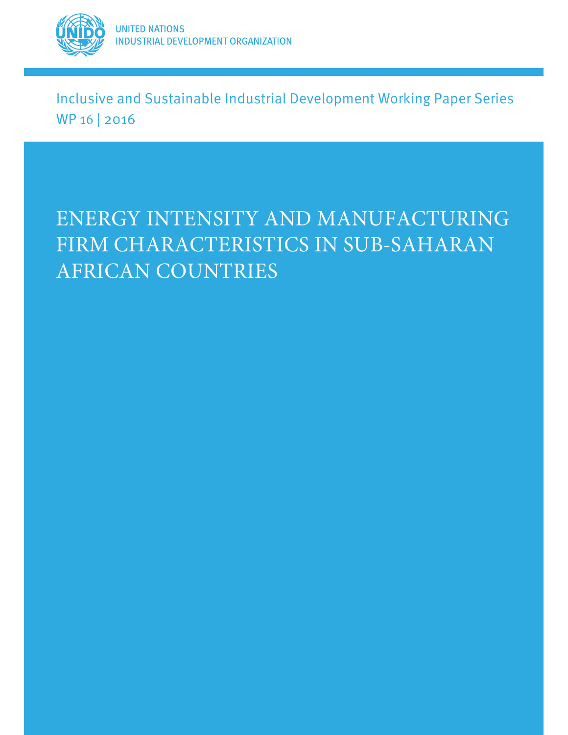

Inclusive and Sustainable Industrial Development Working Paper Series WP 16 2016

# ENERGY INTENSITY AND MANUFACTURING FIRM CHARACTERISTICS IN SUB-SAHARAN AFRICAN COUNTRIES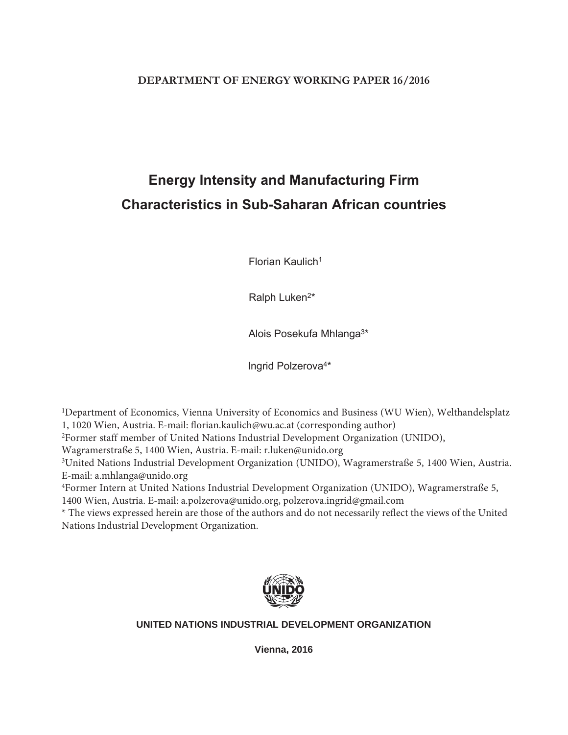# **Energy Intensity and Manufacturing Firm Characteristics in Sub-Saharan African countries**

Florian Kaulich<sup>1</sup>

Ralph Luken<sup>2\*</sup>

Alois Posekufa Mhlanga<sup>3\*</sup>

Ingrid Polzerova<sup>4\*</sup>

 $^1$ Department of Economics, Vienna University of Economics and Business (WU Wien), Welthandelsplatz 1, 1020 Wien, Austria. E-mail: florian.kaulich@wu.ac.at (corresponding author)

<sup>2</sup>Former staff member of United Nations Industrial Development Organization (UNIDO),

Wagramerstraße 5, 1400 Wien, Austria. E-mail: r.luken@unido.org

<sup>3</sup>United Nations Industrial Development Organization (UNIDO), Wagramerstraße 5, 1400 Wien, Austria. E-mail: a.mhlanga@unido.org

<sup>4</sup>Former Intern at United Nations Industrial Development Organization (UNIDO), Wagramerstraße 5, 1400 Wien, Austria. E-mail: a.polzerova@unido.org, polzerova.ingrid@gmail.com

\* The views expressed herein are those of the authors and do not necessarily reflect the views of the United Nations Industrial Development Organization.



## **UNITED NATIONS INDUSTRIAL DEVELOPMENT ORGANIZATION**

**Vienna, 2016**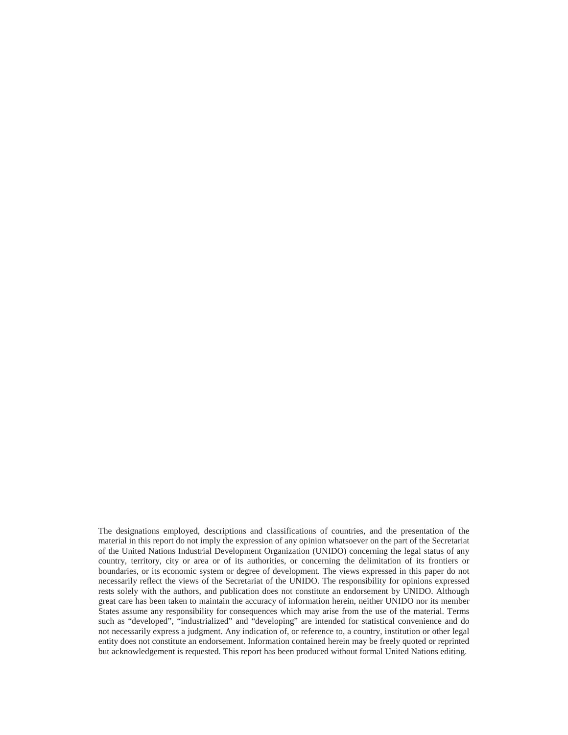The designations employed, descriptions and classifications of countries, and the presentation of the material in this report do not imply the expression of any opinion whatsoever on the part of the Secretariat of the United Nations Industrial Development Organization (UNIDO) concerning the legal status of any country, territory, city or area or of its authorities, or concerning the delimitation of its frontiers or boundaries, or its economic system or degree of development. The views expressed in this paper do not necessarily reflect the views of the Secretariat of the UNIDO. The responsibility for opinions expressed rests solely with the authors, and publication does not constitute an endorsement by UNIDO. Although great care has been taken to maintain the accuracy of information herein, neither UNIDO nor its member States assume any responsibility for consequences which may arise from the use of the material. Terms such as "developed", "industrialized" and "developing" are intended for statistical convenience and do not necessarily express a judgment. Any indication of, or reference to, a country, institution or other legal entity does not constitute an endorsement. Information contained herein may be freely quoted or reprinted but acknowledgement is requested. This report has been produced without formal United Nations editing.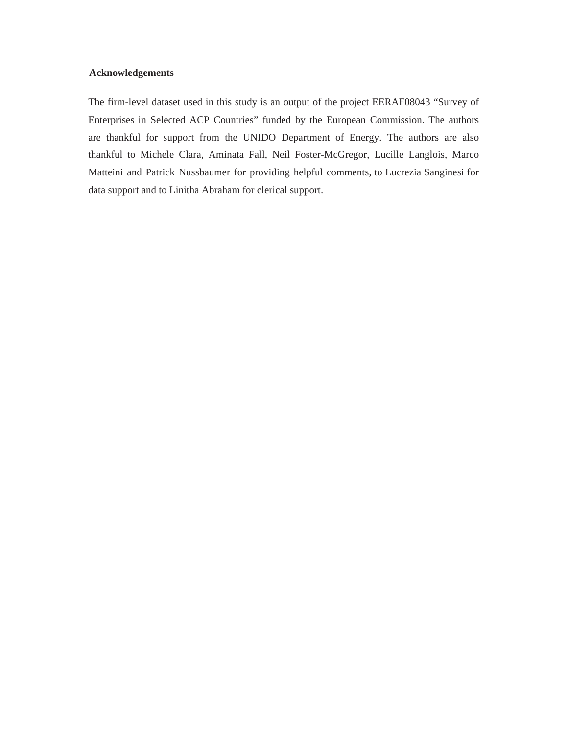#### **Acknowledgements**

The firm-level dataset used in this study is an output of the project EERAF08043 "Survey of Enterprises in Selected ACP Countries" funded by the European Commission. The authors are thankful for support from the UNIDO Department of Energy. The authors are also thankful to Michele Clara, Aminata Fall, Neil Foster-McGregor, Lucille Langlois, Marco Matteini and Patrick Nussbaumer for providing helpful comments, to Lucrezia Sanginesi for data support and to Linitha Abraham for clerical support.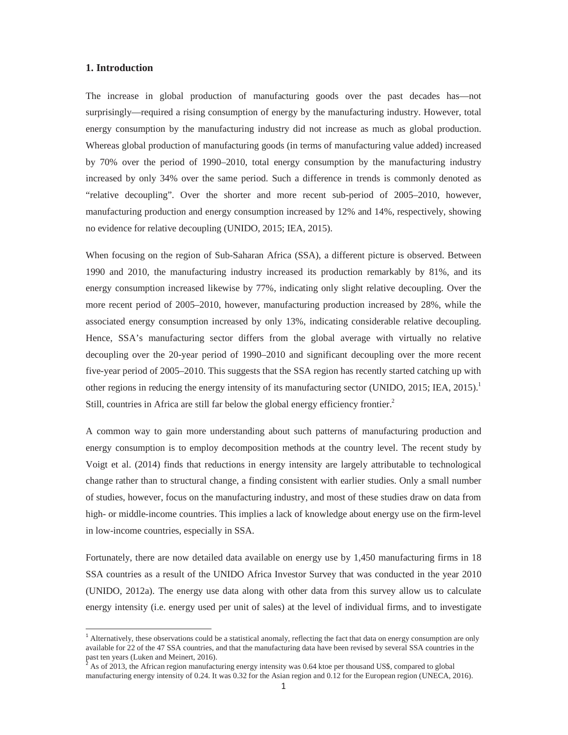#### **1. Introduction**

The increase in global production of manufacturing goods over the past decades has—not surprisingly—required a rising consumption of energy by the manufacturing industry. However, total energy consumption by the manufacturing industry did not increase as much as global production. Whereas global production of manufacturing goods (in terms of manufacturing value added) increased by 70% over the period of 1990–2010, total energy consumption by the manufacturing industry increased by only 34% over the same period. Such a difference in trends is commonly denoted as "relative decoupling". Over the shorter and more recent sub-period of 2005–2010, however, manufacturing production and energy consumption increased by 12% and 14%, respectively, showing no evidence for relative decoupling (UNIDO, 2015; IEA, 2015).

When focusing on the region of Sub-Saharan Africa (SSA), a different picture is observed. Between 1990 and 2010, the manufacturing industry increased its production remarkably by 81%, and its energy consumption increased likewise by 77%, indicating only slight relative decoupling. Over the more recent period of 2005–2010, however, manufacturing production increased by 28%, while the associated energy consumption increased by only 13%, indicating considerable relative decoupling. Hence, SSA's manufacturing sector differs from the global average with virtually no relative decoupling over the 20-year period of 1990–2010 and significant decoupling over the more recent five-year period of 2005–2010. This suggests that the SSA region has recently started catching up with other regions in reducing the energy intensity of its manufacturing sector (UNIDO, 2015; IEA, 2015).<sup>1</sup> Still, countries in Africa are still far below the global energy efficiency frontier.<sup>2</sup>

A common way to gain more understanding about such patterns of manufacturing production and energy consumption is to employ decomposition methods at the country level. The recent study by Voigt et al. (2014) finds that reductions in energy intensity are largely attributable to technological change rather than to structural change, a finding consistent with earlier studies. Only a small number of studies, however, focus on the manufacturing industry, and most of these studies draw on data from high- or middle-income countries. This implies a lack of knowledge about energy use on the firm-level in low-income countries, especially in SSA.

Fortunately, there are now detailed data available on energy use by 1,450 manufacturing firms in 18 SSA countries as a result of the UNIDO Africa Investor Survey that was conducted in the year 2010 (UNIDO, 2012a). The energy use data along with other data from this survey allow us to calculate energy intensity (i.e. energy used per unit of sales) at the level of individual firms, and to investigate

<sup>&</sup>lt;sup>1</sup> Alternatively, these observations could be a statistical anomaly, reflecting the fact that data on energy consumption are only available for 22 of the 47 SSA countries, and that the manufacturing data have been revised by several SSA countries in the past ten years (Luken and Meinert, 2016).

As of 2013, the African region manufacturing energy intensity was 0.64 ktoe per thousand US\$, compared to global manufacturing energy intensity of 0.24. It was 0.32 for the Asian region and 0.12 for the European region (UNECA, 2016).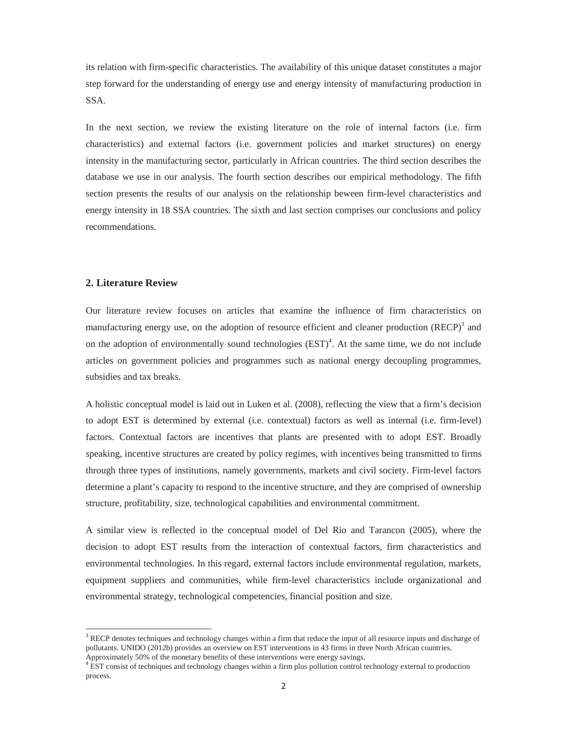its relation with firm-specific characteristics. The availability of this unique dataset constitutes a major step forward for the understanding of energy use and energy intensity of manufacturing production in SSA.

In the next section, we review the existing literature on the role of internal factors (i.e. firm characteristics) and external factors (i.e. government policies and market structures) on energy intensity in the manufacturing sector, particularly in African countries. The third section describes the database we use in our analysis. The fourth section describes our empirical methodology. The fifth section presents the results of our analysis on the relationship beween firm-level characteristics and energy intensity in 18 SSA countries. The sixth and last section comprises our conclusions and policy recommendations.

#### **2. Literature Review**

Our literature review focuses on articles that examine the influence of firm characteristics on manufacturing energy use, on the adoption of resource efficient and cleaner production  $(RECP)^3$  and on the adoption of environmentally sound technologies  $(EST)^4$ . At the same time, we do not include articles on government policies and programmes such as national energy decoupling programmes, subsidies and tax breaks.

A holistic conceptual model is laid out in Luken et al. (2008), reflecting the view that a firm's decision to adopt EST is determined by external (i.e. contextual) factors as well as internal (i.e. firm-level) factors. Contextual factors are incentives that plants are presented with to adopt EST. Broadly speaking, incentive structures are created by policy regimes, with incentives being transmitted to firms through three types of institutions, namely governments, markets and civil society. Firm-level factors determine a plant's capacity to respond to the incentive structure, and they are comprised of ownership structure, profitability, size, technological capabilities and environmental commitment.

A similar view is reflected in the conceptual model of Del Rio and Tarancon (2005), where the decision to adopt EST results from the interaction of contextual factors, firm characteristics and environmental technologies. In this regard, external factors include environmental regulation, markets, equipment suppliers and communities, while firm-level characteristics include organizational and environmental strategy, technological competencies, financial position and size.

<sup>&</sup>lt;sup>3</sup> RECP denotes techniques and technology changes within a firm that reduce the input of all resource inputs and discharge of pollutants. UNIDO (2012b) provides an overview on EST interventions in 43 firms in three North African countries.

Approximately 50% of the monetary benefits of these interventions were energy savings.

 $\frac{4}{15}$  EST consist of techniques and technology changes within a firm plus pollution control technology external to production process.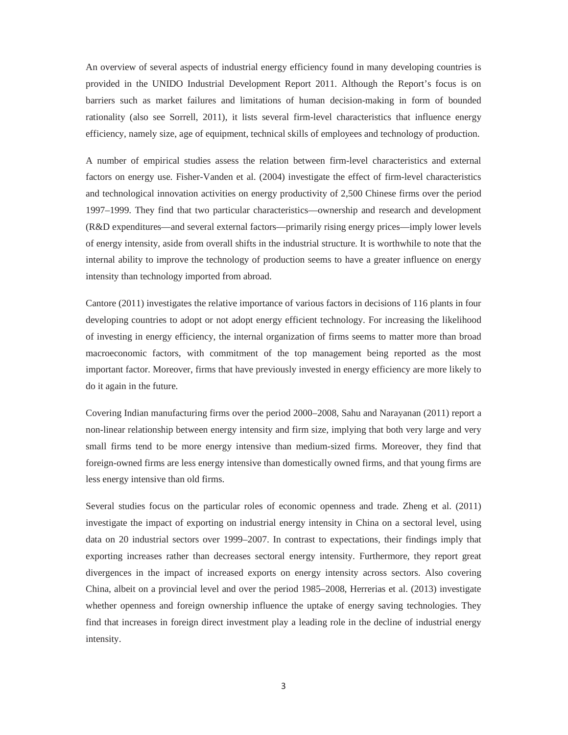An overview of several aspects of industrial energy efficiency found in many developing countries is provided in the UNIDO Industrial Development Report 2011. Although the Report's focus is on barriers such as market failures and limitations of human decision-making in form of bounded rationality (also see Sorrell, 2011), it lists several firm-level characteristics that influence energy efficiency, namely size, age of equipment, technical skills of employees and technology of production.

A number of empirical studies assess the relation between firm-level characteristics and external factors on energy use. Fisher-Vanden et al. (2004) investigate the effect of firm-level characteristics and technological innovation activities on energy productivity of 2,500 Chinese firms over the period 1997–1999. They find that two particular characteristics—ownership and research and development (R&D expenditures—and several external factors—primarily rising energy prices—imply lower levels of energy intensity, aside from overall shifts in the industrial structure. It is worthwhile to note that the internal ability to improve the technology of production seems to have a greater influence on energy intensity than technology imported from abroad.

Cantore (2011) investigates the relative importance of various factors in decisions of 116 plants in four developing countries to adopt or not adopt energy efficient technology. For increasing the likelihood of investing in energy efficiency, the internal organization of firms seems to matter more than broad macroeconomic factors, with commitment of the top management being reported as the most important factor. Moreover, firms that have previously invested in energy efficiency are more likely to do it again in the future.

Covering Indian manufacturing firms over the period 2000–2008, Sahu and Narayanan (2011) report a non-linear relationship between energy intensity and firm size, implying that both very large and very small firms tend to be more energy intensive than medium-sized firms. Moreover, they find that foreign-owned firms are less energy intensive than domestically owned firms, and that young firms are less energy intensive than old firms.

Several studies focus on the particular roles of economic openness and trade. Zheng et al. (2011) investigate the impact of exporting on industrial energy intensity in China on a sectoral level, using data on 20 industrial sectors over 1999–2007. In contrast to expectations, their findings imply that exporting increases rather than decreases sectoral energy intensity. Furthermore, they report great divergences in the impact of increased exports on energy intensity across sectors. Also covering China, albeit on a provincial level and over the period 1985–2008, Herrerias et al. (2013) investigate whether openness and foreign ownership influence the uptake of energy saving technologies. They find that increases in foreign direct investment play a leading role in the decline of industrial energy intensity.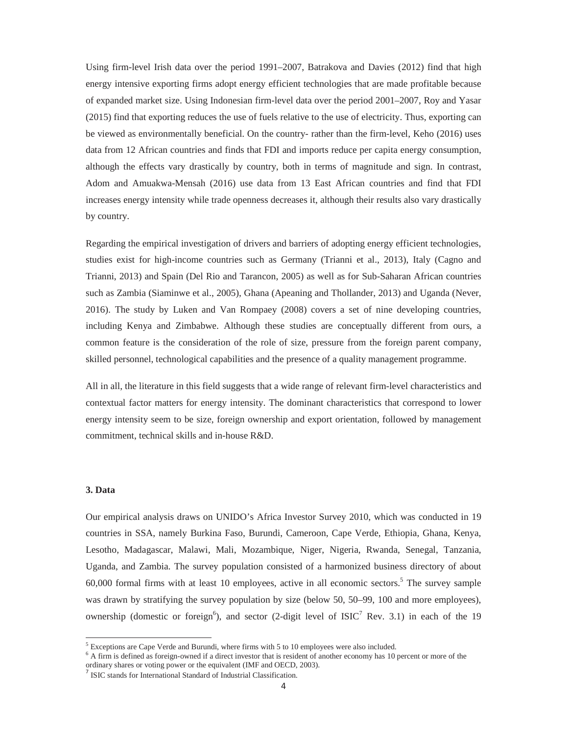Using firm-level Irish data over the period 1991–2007, Batrakova and Davies (2012) find that high energy intensive exporting firms adopt energy efficient technologies that are made profitable because of expanded market size. Using Indonesian firm-level data over the period 2001–2007, Roy and Yasar (2015) find that exporting reduces the use of fuels relative to the use of electricity. Thus, exporting can be viewed as environmentally beneficial. On the country- rather than the firm-level, Keho (2016) uses data from 12 African countries and finds that FDI and imports reduce per capita energy consumption, although the effects vary drastically by country, both in terms of magnitude and sign. In contrast, Adom and Amuakwa-Mensah (2016) use data from 13 East African countries and find that FDI increases energy intensity while trade openness decreases it, although their results also vary drastically by country.

Regarding the empirical investigation of drivers and barriers of adopting energy efficient technologies, studies exist for high-income countries such as Germany (Trianni et al., 2013), Italy (Cagno and Trianni, 2013) and Spain (Del Rio and Tarancon, 2005) as well as for Sub-Saharan African countries such as Zambia (Siaminwe et al., 2005), Ghana (Apeaning and Thollander, 2013) and Uganda (Never, 2016). The study by Luken and Van Rompaey (2008) covers a set of nine developing countries, including Kenya and Zimbabwe. Although these studies are conceptually different from ours, a common feature is the consideration of the role of size, pressure from the foreign parent company, skilled personnel, technological capabilities and the presence of a quality management programme.

All in all, the literature in this field suggests that a wide range of relevant firm-level characteristics and contextual factor matters for energy intensity. The dominant characteristics that correspond to lower energy intensity seem to be size, foreign ownership and export orientation, followed by management commitment, technical skills and in-house R&D.

#### **3. Data**

Our empirical analysis draws on UNIDO's Africa Investor Survey 2010, which was conducted in 19 countries in SSA, namely Burkina Faso, Burundi, Cameroon, Cape Verde, Ethiopia, Ghana, Kenya, Lesotho, Madagascar, Malawi, Mali, Mozambique, Niger, Nigeria, Rwanda, Senegal, Tanzania, Uganda, and Zambia. The survey population consisted of a harmonized business directory of about  $60,000$  formal firms with at least 10 employees, active in all economic sectors.<sup>5</sup> The survey sample was drawn by stratifying the survey population by size (below 50, 50–99, 100 and more employees), ownership (domestic or foreign<sup>6</sup>), and sector (2-digit level of ISIC<sup>7</sup> Rev. 3.1) in each of the 19

**Exceptions are Cape Verde and Burundi**, where firms with 5 to 10 employees were also included.

<sup>6</sup> A firm is defined as foreign-owned if a direct investor that is resident of another economy has 10 percent or more of the ordinary shares or voting power or the equivalent (IMF and OECD, 2003).

<sup>&</sup>lt;sup>7</sup> ISIC stands for International Standard of Industrial Classification.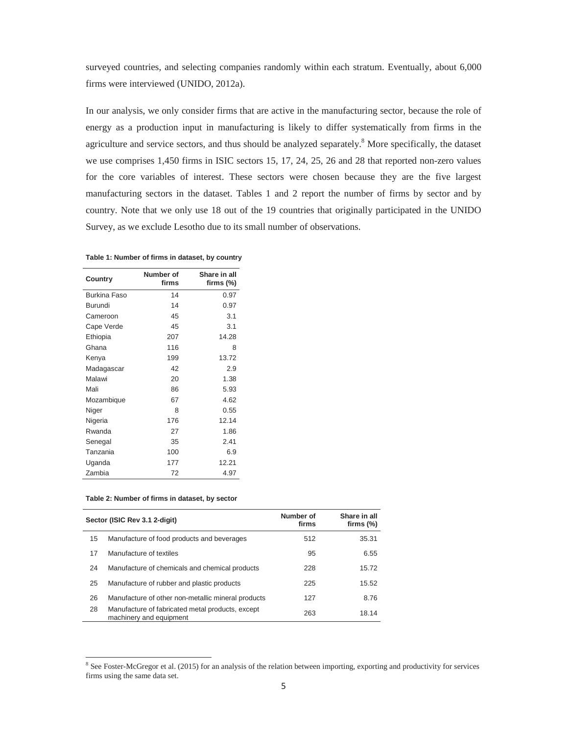surveyed countries, and selecting companies randomly within each stratum. Eventually, about 6,000 firms were interviewed (UNIDO, 2012a).

In our analysis, we only consider firms that are active in the manufacturing sector, because the role of energy as a production input in manufacturing is likely to differ systematically from firms in the agriculture and service sectors, and thus should be analyzed separately.<sup>8</sup> More specifically, the dataset we use comprises 1,450 firms in ISIC sectors 15, 17, 24, 25, 26 and 28 that reported non-zero values for the core variables of interest. These sectors were chosen because they are the five largest manufacturing sectors in the dataset. Tables 1 and 2 report the number of firms by sector and by country. Note that we only use 18 out of the 19 countries that originally participated in the UNIDO Survey, as we exclude Lesotho due to its small number of observations.

| Country             | Number of<br>firms | Share in all<br>firms $(\%)$ |
|---------------------|--------------------|------------------------------|
| <b>Burkina Faso</b> | 14                 | 0.97                         |
| Burundi             | 14                 | 0.97                         |
| Cameroon            | 45                 | 3.1                          |
| Cape Verde          | 45                 | 3.1                          |
| Ethiopia            | 207                | 14.28                        |
| Ghana               | 116                | 8                            |
| Kenya               | 199                | 13.72                        |
| Madagascar          | 42                 | 2.9                          |
| Malawi              | 20                 | 1.38                         |
| Mali                | 86                 | 5.93                         |
| Mozambique          | 67                 | 4.62                         |
| Niger               | 8                  | 0.55                         |
| Nigeria             | 176                | 12.14                        |
| Rwanda              | 27                 | 1.86                         |
| Senegal             | 35                 | 2.41                         |
| Tanzania            | 100                | 6.9                          |
| Uganda              | 177                | 12.21                        |
| Zambia              | 72                 | 4.97                         |

#### **Table 2: Number of firms in dataset, by sector**

|    | Sector (ISIC Rev 3.1 2-digit)                                               | Number of<br>firms | Share in all<br>firms $(\%)$ |
|----|-----------------------------------------------------------------------------|--------------------|------------------------------|
| 15 | Manufacture of food products and beverages                                  | 512                | 35.31                        |
| 17 | Manufacture of textiles                                                     | 95                 | 6.55                         |
| 24 | Manufacture of chemicals and chemical products                              | 228                | 15.72                        |
| 25 | Manufacture of rubber and plastic products                                  | 225                | 15.52                        |
| 26 | Manufacture of other non-metallic mineral products                          | 127                | 8.76                         |
| 28 | Manufacture of fabricated metal products, except<br>machinery and equipment | 263                | 18.14                        |

<sup>&</sup>lt;sup>8</sup> See Foster-McGregor et al. (2015) for an analysis of the relation between importing, exporting and productivity for services firms using the same data set.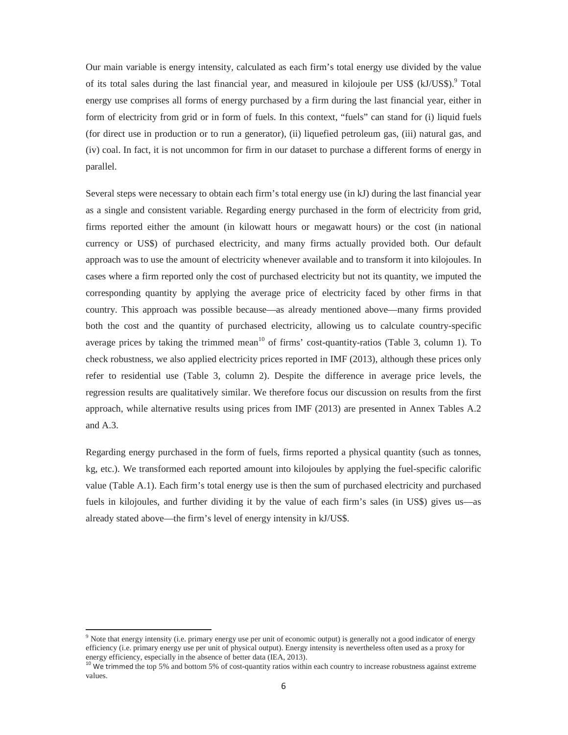Our main variable is energy intensity, calculated as each firm's total energy use divided by the value of its total sales during the last financial year, and measured in kilojoule per US\$ (kJ/US\$).<sup>9</sup> Total energy use comprises all forms of energy purchased by a firm during the last financial year, either in form of electricity from grid or in form of fuels. In this context, "fuels" can stand for (i) liquid fuels (for direct use in production or to run a generator), (ii) liquefied petroleum gas, (iii) natural gas, and (iv) coal. In fact, it is not uncommon for firm in our dataset to purchase a different forms of energy in parallel.

Several steps were necessary to obtain each firm's total energy use (in kJ) during the last financial year as a single and consistent variable. Regarding energy purchased in the form of electricity from grid, firms reported either the amount (in kilowatt hours or megawatt hours) or the cost (in national currency or US\$) of purchased electricity, and many firms actually provided both. Our default approach was to use the amount of electricity whenever available and to transform it into kilojoules. In cases where a firm reported only the cost of purchased electricity but not its quantity, we imputed the corresponding quantity by applying the average price of electricity faced by other firms in that country. This approach was possible because—as already mentioned above—many firms provided both the cost and the quantity of purchased electricity, allowing us to calculate country-specific average prices by taking the trimmed mean<sup>10</sup> of firms' cost-quantity-ratios (Table 3, column 1). To check robustness, we also applied electricity prices reported in IMF (2013), although these prices only refer to residential use (Table 3, column 2). Despite the difference in average price levels, the regression results are qualitatively similar. We therefore focus our discussion on results from the first approach, while alternative results using prices from IMF (2013) are presented in Annex Tables A.2 and A.3.

Regarding energy purchased in the form of fuels, firms reported a physical quantity (such as tonnes, kg, etc.). We transformed each reported amount into kilojoules by applying the fuel-specific calorific value (Table A.1). Each firm's total energy use is then the sum of purchased electricity and purchased fuels in kilojoules, and further dividing it by the value of each firm's sales (in US\$) gives us—as already stated above—the firm's level of energy intensity in kJ/US\$.

<sup>&</sup>lt;sup>9</sup> Note that energy intensity (i.e. primary energy use per unit of economic output) is generally not a good indicator of energy efficiency (i.e. primary energy use per unit of physical output). Energy intensity is nevertheless often used as a proxy for energy efficiency, especially in the absence of better data (IEA, 2013).

 $10$  We trimmed the top 5% and bottom 5% of cost-quantity ratios within each country to increase robustness against extreme values.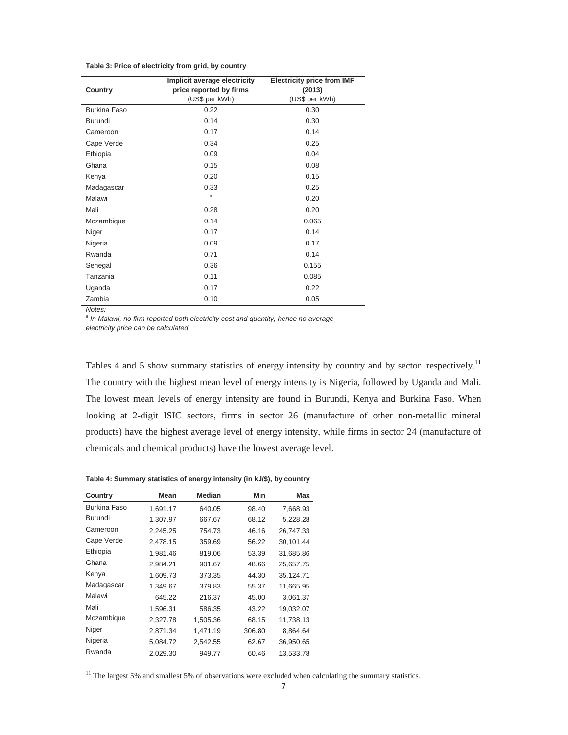**Table 3: Price of electricity from grid, by country**

| Country                | Implicit average electricity<br>price reported by firms<br>(US\$ per kWh) | <b>Electricity price from IMF</b><br>(2013)<br>(US\$ per kWh) |
|------------------------|---------------------------------------------------------------------------|---------------------------------------------------------------|
| <b>Burkina Faso</b>    | 0.22                                                                      | 0.30                                                          |
| <b>Burundi</b>         | 0.14                                                                      | 0.30                                                          |
| Cameroon               | 0.17                                                                      | 0.14                                                          |
| Cape Verde             | 0.34                                                                      | 0.25                                                          |
| Ethiopia               | 0.09                                                                      | 0.04                                                          |
| Ghana                  | 0.15                                                                      | 0.08                                                          |
| Kenya                  | 0.20                                                                      | 0.15                                                          |
| Madagascar             | 0.33                                                                      | 0.25                                                          |
| Malawi                 | a                                                                         | 0.20                                                          |
| Mali                   | 0.28                                                                      | 0.20                                                          |
| Mozambique             | 0.14                                                                      | 0.065                                                         |
| Niger                  | 0.17                                                                      | 0.14                                                          |
| Nigeria                | 0.09                                                                      | 0.17                                                          |
| Rwanda                 | 0.71                                                                      | 0.14                                                          |
| Senegal                | 0.36                                                                      | 0.155                                                         |
| Tanzania               | 0.11                                                                      | 0.085                                                         |
| Uganda                 | 0.17                                                                      | 0.22                                                          |
| Zambia<br>$N1 - 1 - 0$ | 0.10                                                                      | 0.05                                                          |

*Notes:* 

*a In Malawi, no firm reported both electricity cost and quantity, hence no average electricity price can be calculated* 

Tables 4 and 5 show summary statistics of energy intensity by country and by sector. respectively.<sup>11</sup> The country with the highest mean level of energy intensity is Nigeria, followed by Uganda and Mali. The lowest mean levels of energy intensity are found in Burundi, Kenya and Burkina Faso. When looking at 2-digit ISIC sectors, firms in sector 26 (manufacture of other non-metallic mineral products) have the highest average level of energy intensity, while firms in sector 24 (manufacture of chemicals and chemical products) have the lowest average level.

**Table 4: Summary statistics of energy intensity (in kJ/\$), by country** 

| Country      | Mean     | Median   | Min    | Max       |
|--------------|----------|----------|--------|-----------|
| Burkina Faso | 1,691.17 | 640.05   | 98.40  | 7,668.93  |
| Burundi      | 1,307.97 | 667.67   | 68.12  | 5,228.28  |
| Cameroon     | 2,245.25 | 754.73   | 46.16  | 26,747.33 |
| Cape Verde   | 2,478.15 | 359.69   | 56.22  | 30,101.44 |
| Ethiopia     | 1,981.46 | 819.06   | 53.39  | 31,685.86 |
| Ghana        | 2,984.21 | 901.67   | 48.66  | 25,657.75 |
| Kenya        | 1,609.73 | 373.35   | 44.30  | 35,124.71 |
| Madagascar   | 1.349.67 | 379.83   | 55.37  | 11,665.95 |
| Malawi       | 645.22   | 216.37   | 45.00  | 3,061.37  |
| Mali         | 1,596.31 | 586.35   | 43.22  | 19,032.07 |
| Mozambique   | 2,327.78 | 1,505.36 | 68.15  | 11,738.13 |
| Niger        | 2,871.34 | 1,471.19 | 306.80 | 8,864.64  |
| Nigeria      | 5.084.72 | 2,542.55 | 62.67  | 36,950.65 |
| Rwanda       | 2,029.30 | 949.77   | 60.46  | 13,533.78 |

 $11$  The largest 5% and smallest 5% of observations were excluded when calculating the summary statistics.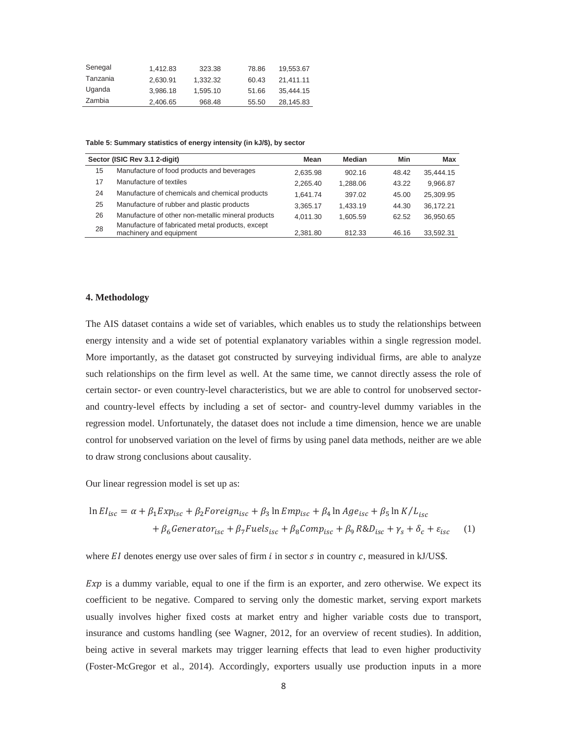| Senegal  | 1.412.83 | 323.38   | 78.86 | 19.553.67 |
|----------|----------|----------|-------|-----------|
| Tanzania | 2.630.91 | 1.332.32 | 60.43 | 21.411.11 |
| Uganda   | 3.986.18 | 1.595.10 | 51.66 | 35.444.15 |
| Zambia   | 2,406.65 | 968.48   | 55.50 | 28,145.83 |

**Table 5: Summary statistics of energy intensity (in kJ/\$), by sector** 

|    | Sector (ISIC Rev 3.1 2-digit)                                               | Mean     | Median   | Min   | Max       |
|----|-----------------------------------------------------------------------------|----------|----------|-------|-----------|
| 15 | Manufacture of food products and beverages                                  | 2,635.98 | 902.16   | 48.42 | 35,444.15 |
| 17 | Manufacture of textiles                                                     | 2.265.40 | 1.288.06 | 43.22 | 9.966.87  |
| 24 | Manufacture of chemicals and chemical products                              | 1.641.74 | 397.02   | 45.00 | 25,309.95 |
| 25 | Manufacture of rubber and plastic products                                  | 3,365.17 | 1.433.19 | 44.30 | 36,172.21 |
| 26 | Manufacture of other non-metallic mineral products                          | 4.011.30 | 1.605.59 | 62.52 | 36,950.65 |
| 28 | Manufacture of fabricated metal products, except<br>machinery and equipment | 2.381.80 | 812.33   | 46.16 | 33.592.31 |

#### **4. Methodology**

The AIS dataset contains a wide set of variables, which enables us to study the relationships between energy intensity and a wide set of potential explanatory variables within a single regression model. More importantly, as the dataset got constructed by surveying individual firms, are able to analyze such relationships on the firm level as well. At the same time, we cannot directly assess the role of certain sector- or even country-level characteristics, but we are able to control for unobserved sectorand country-level effects by including a set of sector- and country-level dummy variables in the regression model. Unfortunately, the dataset does not include a time dimension, hence we are unable control for unobserved variation on the level of firms by using panel data methods, neither are we able to draw strong conclusions about causality.

Our linear regression model is set up as:

$$
\ln EI_{isc} = \alpha + \beta_1 Exp_{isc} + \beta_2 Foreign_{isc} + \beta_3 \ln Emp_{isc} + \beta_4 \ln Age_{isc} + \beta_5 \ln K/L_{isc}
$$

$$
+ \beta_6 Generator_{isc} + \beta_7 Fuels_{isc} + \beta_8 Comp_{isc} + \beta_9 R&D_{isc} + \gamma_5 + \delta_c + \varepsilon_{isc} \tag{1}
$$

where  $EI$  denotes energy use over sales of firm  $i$  in sector  $s$  in country  $c$ , measured in kJ/US\$.

 $Exp$  is a dummy variable, equal to one if the firm is an exporter, and zero otherwise. We expect its coefficient to be negative. Compared to serving only the domestic market, serving export markets usually involves higher fixed costs at market entry and higher variable costs due to transport, insurance and customs handling (see Wagner, 2012, for an overview of recent studies). In addition, being active in several markets may trigger learning effects that lead to even higher productivity (Foster-McGregor et al., 2014). Accordingly, exporters usually use production inputs in a more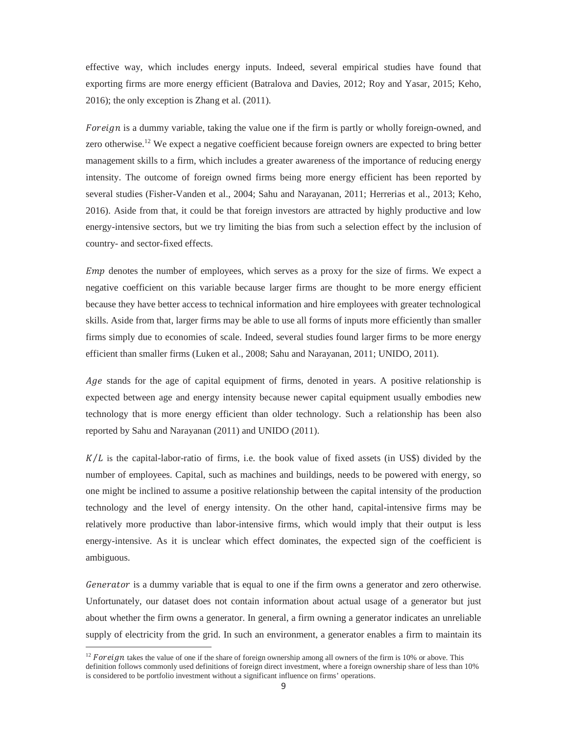effective way, which includes energy inputs. Indeed, several empirical studies have found that exporting firms are more energy efficient (Batralova and Davies, 2012; Roy and Yasar, 2015; Keho, 2016); the only exception is Zhang et al. (2011).

Foreign is a dummy variable, taking the value one if the firm is partly or wholly foreign-owned, and zero otherwise.<sup>12</sup> We expect a negative coefficient because foreign owners are expected to bring better management skills to a firm, which includes a greater awareness of the importance of reducing energy intensity. The outcome of foreign owned firms being more energy efficient has been reported by several studies (Fisher-Vanden et al., 2004; Sahu and Narayanan, 2011; Herrerias et al., 2013; Keho, 2016). Aside from that, it could be that foreign investors are attracted by highly productive and low energy-intensive sectors, but we try limiting the bias from such a selection effect by the inclusion of country- and sector-fixed effects.

Emp denotes the number of employees, which serves as a proxy for the size of firms. We expect a negative coefficient on this variable because larger firms are thought to be more energy efficient because they have better access to technical information and hire employees with greater technological skills. Aside from that, larger firms may be able to use all forms of inputs more efficiently than smaller firms simply due to economies of scale. Indeed, several studies found larger firms to be more energy efficient than smaller firms (Luken et al., 2008; Sahu and Narayanan, 2011; UNIDO, 2011).

Age stands for the age of capital equipment of firms, denoted in years. A positive relationship is expected between age and energy intensity because newer capital equipment usually embodies new technology that is more energy efficient than older technology. Such a relationship has been also reported by Sahu and Narayanan (2011) and UNIDO (2011).

 $K/L$  is the capital-labor-ratio of firms, i.e. the book value of fixed assets (in US\$) divided by the number of employees. Capital, such as machines and buildings, needs to be powered with energy, so one might be inclined to assume a positive relationship between the capital intensity of the production technology and the level of energy intensity. On the other hand, capital-intensive firms may be relatively more productive than labor-intensive firms, which would imply that their output is less energy-intensive. As it is unclear which effect dominates, the expected sign of the coefficient is ambiguous.

Generator is a dummy variable that is equal to one if the firm owns a generator and zero otherwise. Unfortunately, our dataset does not contain information about actual usage of a generator but just about whether the firm owns a generator. In general, a firm owning a generator indicates an unreliable supply of electricity from the grid. In such an environment, a generator enables a firm to maintain its

 $12$  Foreign takes the value of one if the share of foreign ownership among all owners of the firm is 10% or above. This definition follows commonly used definitions of foreign direct investment, where a foreign ownership share of less than 10% is considered to be portfolio investment without a significant influence on firms' operations.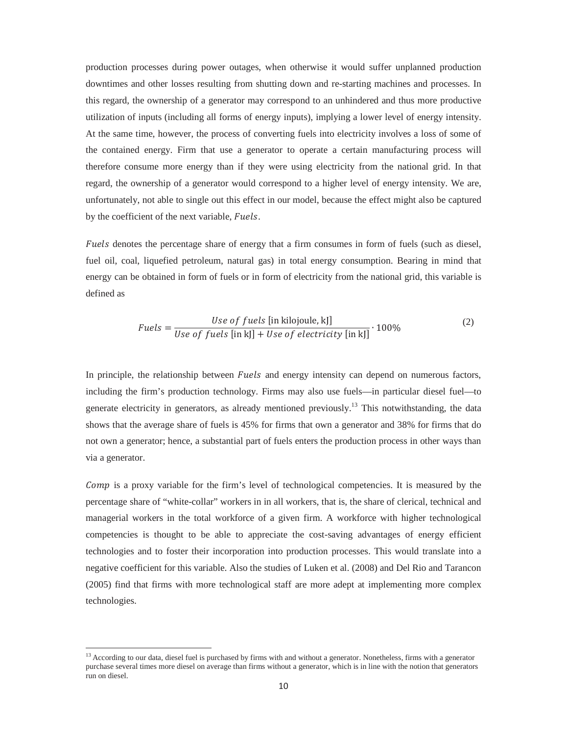production processes during power outages, when otherwise it would suffer unplanned production downtimes and other losses resulting from shutting down and re-starting machines and processes. In this regard, the ownership of a generator may correspond to an unhindered and thus more productive utilization of inputs (including all forms of energy inputs), implying a lower level of energy intensity. At the same time, however, the process of converting fuels into electricity involves a loss of some of the contained energy. Firm that use a generator to operate a certain manufacturing process will therefore consume more energy than if they were using electricity from the national grid. In that regard, the ownership of a generator would correspond to a higher level of energy intensity. We are, unfortunately, not able to single out this effect in our model, because the effect might also be captured by the coefficient of the next variable, Fuels.

Fuels denotes the percentage share of energy that a firm consumes in form of fuels (such as diesel, fuel oil, coal, liquefied petroleum, natural gas) in total energy consumption. Bearing in mind that energy can be obtained in form of fuels or in form of electricity from the national grid, this variable is defined as

$$
Fuels = \frac{Use\ of\ fuels\ [in kilojoule, k]\}}{Use\ of\ fuels\ [in k]\} + Use\ of\ electricity\ [in k]\} \cdot 100\%
$$
\n<sup>(2)</sup>

In principle, the relationship between *Fuels* and energy intensity can depend on numerous factors, including the firm's production technology. Firms may also use fuels—in particular diesel fuel—to generate electricity in generators, as already mentioned previously.<sup>13</sup> This notwithstanding, the data shows that the average share of fuels is 45% for firms that own a generator and 38% for firms that do not own a generator; hence, a substantial part of fuels enters the production process in other ways than via a generator.

Comp is a proxy variable for the firm's level of technological competencies. It is measured by the percentage share of "white-collar" workers in in all workers, that is, the share of clerical, technical and managerial workers in the total workforce of a given firm. A workforce with higher technological competencies is thought to be able to appreciate the cost-saving advantages of energy efficient technologies and to foster their incorporation into production processes. This would translate into a negative coefficient for this variable. Also the studies of Luken et al. (2008) and Del Rio and Tarancon (2005) find that firms with more technological staff are more adept at implementing more complex technologies.

<sup>&</sup>lt;sup>13</sup> According to our data, diesel fuel is purchased by firms with and without a generator. Nonetheless, firms with a generator purchase several times more diesel on average than firms without a generator, which is in line with the notion that generators run on diesel.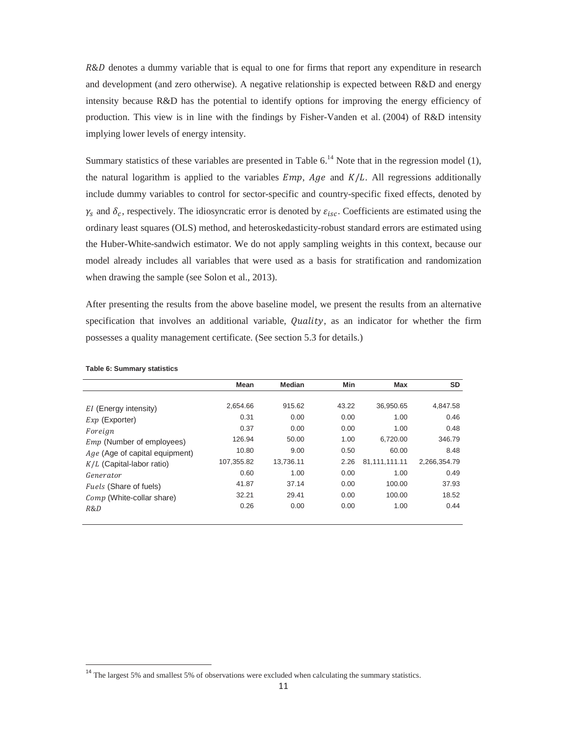R&D denotes a dummy variable that is equal to one for firms that report any expenditure in research and development (and zero otherwise). A negative relationship is expected between R&D and energy intensity because R&D has the potential to identify options for improving the energy efficiency of production. This view is in line with the findings by Fisher-Vanden et al. (2004) of R&D intensity implying lower levels of energy intensity.

Summary statistics of these variables are presented in Table  $6<sup>14</sup>$  Note that in the regression model (1), the natural logarithm is applied to the variables  $Emp$ ,  $Age$  and  $K/L$ . All regressions additionally include dummy variables to control for sector-specific and country-specific fixed effects, denoted by  $\gamma_s$  and  $\delta_c$ , respectively. The idiosyncratic error is denoted by  $\varepsilon_{isc}$ . Coefficients are estimated using the ordinary least squares (OLS) method, and heteroskedasticity-robust standard errors are estimated using the Huber-White-sandwich estimator. We do not apply sampling weights in this context, because our model already includes all variables that were used as a basis for stratification and randomization when drawing the sample (see Solon et al., 2013).

After presenting the results from the above baseline model, we present the results from an alternative specification that involves an additional variable, *Quality*, as an indicator for whether the firm possesses a quality management certificate. (See section 5.3 for details.)

**Table 6: Summary statistics** 

 $14$  The largest 5% and smallest 5% of observations were excluded when calculating the summary statistics.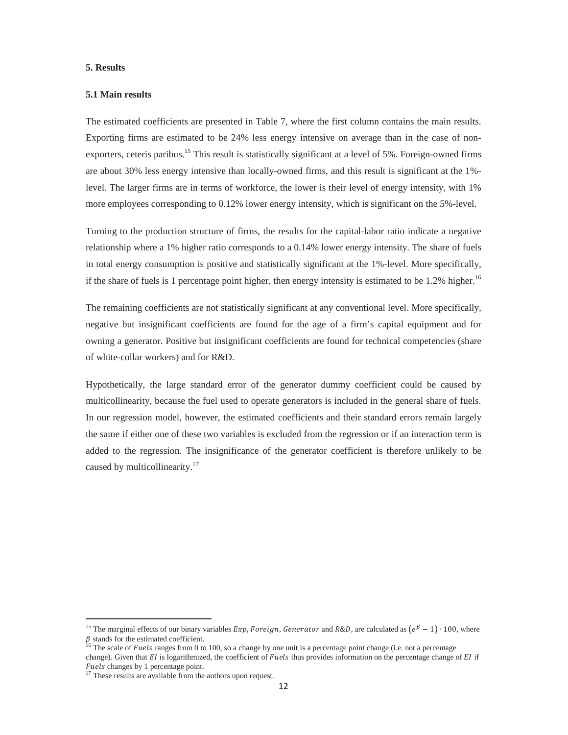#### **5. Results**

#### **5.1 Main results**

The estimated coefficients are presented in Table 7, where the first column contains the main results. Exporting firms are estimated to be 24% less energy intensive on average than in the case of nonexporters, ceteris paribus.<sup>15</sup> This result is statistically significant at a level of 5%. Foreign-owned firms are about 30% less energy intensive than locally-owned firms, and this result is significant at the 1% level. The larger firms are in terms of workforce, the lower is their level of energy intensity, with 1% more employees corresponding to 0.12% lower energy intensity, which is significant on the 5%-level.

Turning to the production structure of firms, the results for the capital-labor ratio indicate a negative relationship where a 1% higher ratio corresponds to a 0.14% lower energy intensity. The share of fuels in total energy consumption is positive and statistically significant at the 1%-level. More specifically, if the share of fuels is 1 percentage point higher, then energy intensity is estimated to be  $1.2\%$  higher.<sup>16</sup>

The remaining coefficients are not statistically significant at any conventional level. More specifically, negative but insignificant coefficients are found for the age of a firm's capital equipment and for owning a generator. Positive but insignificant coefficients are found for technical competencies (share of white-collar workers) and for R&D.

Hypothetically, the large standard error of the generator dummy coefficient could be caused by multicollinearity, because the fuel used to operate generators is included in the general share of fuels. In our regression model, however, the estimated coefficients and their standard errors remain largely the same if either one of these two variables is excluded from the regression or if an interaction term is added to the regression. The insignificance of the generator coefficient is therefore unlikely to be caused by multicollinearity.<sup>17</sup>

<sup>&</sup>lt;sup>15</sup> The marginal effects of our binary variables  $Exp$ , Foreign, Generator and R&D, are calculated as  $(e^{i\beta}-1) \cdot 100$ , where  $\beta$  stands for the estimated coefficient.

<sup>&</sup>lt;sup>16</sup> The scale of *Fuels* ranges from 0 to 100, so a change by one unit is a percentage point change (i.e. not a percentage change). Given that  $EI$  is logarithmized, the coefficient of Fuels thus provides information on the percentage change of  $EI$  if Fuels changes by 1 percentage point.  $17$  These results are available from the authors upon request.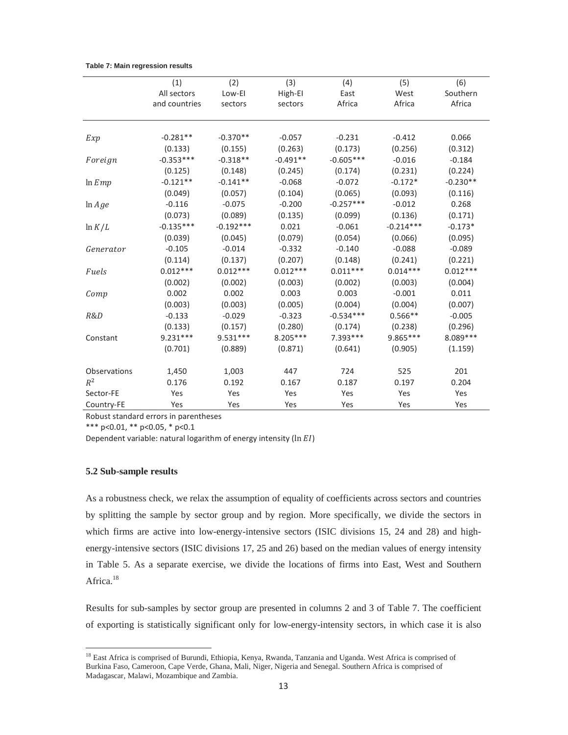|              | (1)           | (2)         | (3)        | (4)         | (5)         | (6)        |
|--------------|---------------|-------------|------------|-------------|-------------|------------|
|              | All sectors   | Low-EI      | High-El    | East        | West        | Southern   |
|              | and countries | sectors     | sectors    | Africa      | Africa      | Africa     |
|              |               |             |            |             |             |            |
|              |               |             |            |             |             |            |
| Exp          | $-0.281**$    | $-0.370**$  | $-0.057$   | $-0.231$    | $-0.412$    | 0.066      |
|              | (0.133)       | (0.155)     | (0.263)    | (0.173)     | (0.256)     | (0.312)    |
| Foreign      | $-0.353***$   | $-0.318**$  | $-0.491**$ | $-0.605***$ | $-0.016$    | $-0.184$   |
|              | (0.125)       | (0.148)     | (0.245)    | (0.174)     | (0.231)     | (0.224)    |
| ln Emp       | $-0.121**$    | $-0.141**$  | $-0.068$   | $-0.072$    | $-0.172*$   | $-0.230**$ |
|              | (0.049)       | (0.057)     | (0.104)    | (0.065)     | (0.093)     | (0.116)    |
| ln Age       | $-0.116$      | $-0.075$    | $-0.200$   | $-0.257***$ | $-0.012$    | 0.268      |
|              | (0.073)       | (0.089)     | (0.135)    | (0.099)     | (0.136)     | (0.171)    |
| $\ln K/L$    | $-0.135***$   | $-0.192***$ | 0.021      | $-0.061$    | $-0.214***$ | $-0.173*$  |
|              | (0.039)       | (0.045)     | (0.079)    | (0.054)     | (0.066)     | (0.095)    |
| Generator    | $-0.105$      | $-0.014$    | $-0.332$   | $-0.140$    | $-0.088$    | $-0.089$   |
|              | (0.114)       | (0.137)     | (0.207)    | (0.148)     | (0.241)     | (0.221)    |
| Fuels        | $0.012***$    | $0.012***$  | $0.012***$ | $0.011***$  | $0.014***$  | $0.012***$ |
|              | (0.002)       | (0.002)     | (0.003)    | (0.002)     | (0.003)     | (0.004)    |
| Comp         | 0.002         | 0.002       | 0.003      | 0.003       | $-0.001$    | 0.011      |
|              | (0.003)       | (0.003)     | (0.005)    | (0.004)     | (0.004)     | (0.007)    |
| R&D          | $-0.133$      | $-0.029$    | $-0.323$   | $-0.534***$ | $0.566**$   | $-0.005$   |
|              | (0.133)       | (0.157)     | (0.280)    | (0.174)     | (0.238)     | (0.296)    |
| Constant     | $9.231***$    | $9.531***$  | $8.205***$ | 7.393***    | 9.865 ***   | 8.089 ***  |
|              | (0.701)       | (0.889)     | (0.871)    | (0.641)     | (0.905)     | (1.159)    |
|              |               |             |            |             |             |            |
| Observations | 1,450         | 1,003       | 447        | 724         | 525         | 201        |
| $R^2$        | 0.176         | 0.192       | 0.167      | 0.187       | 0.197       | 0.204      |
| Sector-FE    | Yes           | Yes         | Yes        | Yes         | Yes         | Yes        |
| Country-FE   | Yes           | Yes         | Yes        | Yes         | Yes         | Yes        |

**Table 7: Main regression results** 

Robust standard errors in parentheses

 $***$  p<0.01,  $**$  p<0.05,  $*$  p<0.1

Dependent variable: natural logarithm of energy intensity (ln EI)

#### **5.2 Sub-sample results**

As a robustness check, we relax the assumption of equality of coefficients across sectors and countries by splitting the sample by sector group and by region. More specifically, we divide the sectors in which firms are active into low-energy-intensive sectors (ISIC divisions 15, 24 and 28) and highenergy-intensive sectors (ISIC divisions 17, 25 and 26) based on the median values of energy intensity in Table 5. As a separate exercise, we divide the locations of firms into East, West and Southern Africa.<sup>18</sup>

Results for sub-samples by sector group are presented in columns 2 and 3 of Table 7. The coefficient of exporting is statistically significant only for low-energy-intensity sectors, in which case it is also

<sup>&</sup>lt;sup>18</sup> East Africa is comprised of Burundi, Ethiopia, Kenya, Rwanda, Tanzania and Uganda. West Africa is comprised of Burkina Faso, Cameroon, Cape Verde, Ghana, Mali, Niger, Nigeria and Senegal. Southern Africa is comprised of Madagascar, Malawi, Mozambique and Zambia.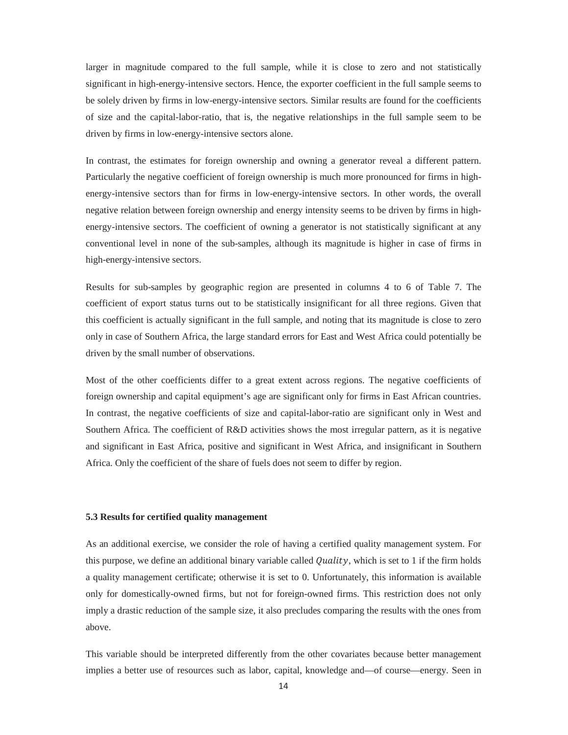larger in magnitude compared to the full sample, while it is close to zero and not statistically significant in high-energy-intensive sectors. Hence, the exporter coefficient in the full sample seems to be solely driven by firms in low-energy-intensive sectors. Similar results are found for the coefficients of size and the capital-labor-ratio, that is, the negative relationships in the full sample seem to be driven by firms in low-energy-intensive sectors alone.

In contrast, the estimates for foreign ownership and owning a generator reveal a different pattern. Particularly the negative coefficient of foreign ownership is much more pronounced for firms in highenergy-intensive sectors than for firms in low-energy-intensive sectors. In other words, the overall negative relation between foreign ownership and energy intensity seems to be driven by firms in highenergy-intensive sectors. The coefficient of owning a generator is not statistically significant at any conventional level in none of the sub-samples, although its magnitude is higher in case of firms in high-energy-intensive sectors.

Results for sub-samples by geographic region are presented in columns 4 to 6 of Table 7. The coefficient of export status turns out to be statistically insignificant for all three regions. Given that this coefficient is actually significant in the full sample, and noting that its magnitude is close to zero only in case of Southern Africa, the large standard errors for East and West Africa could potentially be driven by the small number of observations.

Most of the other coefficients differ to a great extent across regions. The negative coefficients of foreign ownership and capital equipment's age are significant only for firms in East African countries. In contrast, the negative coefficients of size and capital-labor-ratio are significant only in West and Southern Africa. The coefficient of R&D activities shows the most irregular pattern, as it is negative and significant in East Africa, positive and significant in West Africa, and insignificant in Southern Africa. Only the coefficient of the share of fuels does not seem to differ by region.

#### **5.3 Results for certified quality management**

As an additional exercise, we consider the role of having a certified quality management system. For this purpose, we define an additional binary variable called *Quality*, which is set to 1 if the firm holds a quality management certificate; otherwise it is set to 0. Unfortunately, this information is available only for domestically-owned firms, but not for foreign-owned firms. This restriction does not only imply a drastic reduction of the sample size, it also precludes comparing the results with the ones from above.

This variable should be interpreted differently from the other covariates because better management implies a better use of resources such as labor, capital, knowledge and—of course—energy. Seen in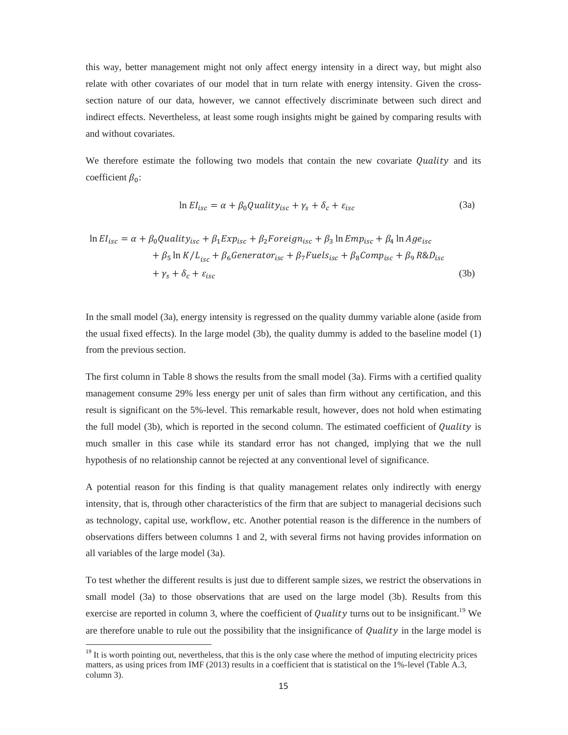this way, better management might not only affect energy intensity in a direct way, but might also relate with other covariates of our model that in turn relate with energy intensity. Given the crosssection nature of our data, however, we cannot effectively discriminate between such direct and indirect effects. Nevertheless, at least some rough insights might be gained by comparing results with and without covariates.

We therefore estimate the following two models that contain the new covariate *Quality* and its coefficient  $\beta_0$ :

$$
\ln EI_{isc} = \alpha + \beta_0 Quality_{isc} + \gamma_s + \delta_c + \varepsilon_{isc}
$$
\n(3a)

$$
\ln EI_{isc} = \alpha + \beta_0 Quality_{isc} + \beta_1 Exp_{isc} + \beta_2 Foreign_{isc} + \beta_3 \ln Emp_{isc} + \beta_4 \ln Age_{isc} + \beta_5 \ln K/L_{isc} + \beta_6Generator_{isc} + \beta_7 Fuels_{isc} + \beta_8 Comp_{isc} + \beta_9 R&D_{isc} + \gamma_s + \delta_c + \varepsilon_{isc}
$$
\n(3b)

In the small model (3a), energy intensity is regressed on the quality dummy variable alone (aside from the usual fixed effects). In the large model (3b), the quality dummy is added to the baseline model (1) from the previous section.

The first column in Table 8 shows the results from the small model (3a). Firms with a certified quality management consume 29% less energy per unit of sales than firm without any certification, and this result is significant on the 5%-level. This remarkable result, however, does not hold when estimating the full model (3b), which is reported in the second column. The estimated coefficient of Quality is much smaller in this case while its standard error has not changed, implying that we the null hypothesis of no relationship cannot be rejected at any conventional level of significance.

A potential reason for this finding is that quality management relates only indirectly with energy intensity, that is, through other characteristics of the firm that are subject to managerial decisions such as technology, capital use, workflow, etc. Another potential reason is the difference in the numbers of observations differs between columns 1 and 2, with several firms not having provides information on all variables of the large model (3a).

To test whether the different results is just due to different sample sizes, we restrict the observations in small model (3a) to those observations that are used on the large model (3b). Results from this exercise are reported in column 3, where the coefficient of *Quality* turns out to be insignificant.<sup>19</sup> We are therefore unable to rule out the possibility that the insignificance of *Quality* in the large model is

 $<sup>19</sup>$  It is worth pointing out, nevertheless, that this is the only case where the method of imputing electricity prices</sup> matters, as using prices from IMF (2013) results in a coefficient that is statistical on the 1%-level (Table A.3, column 3).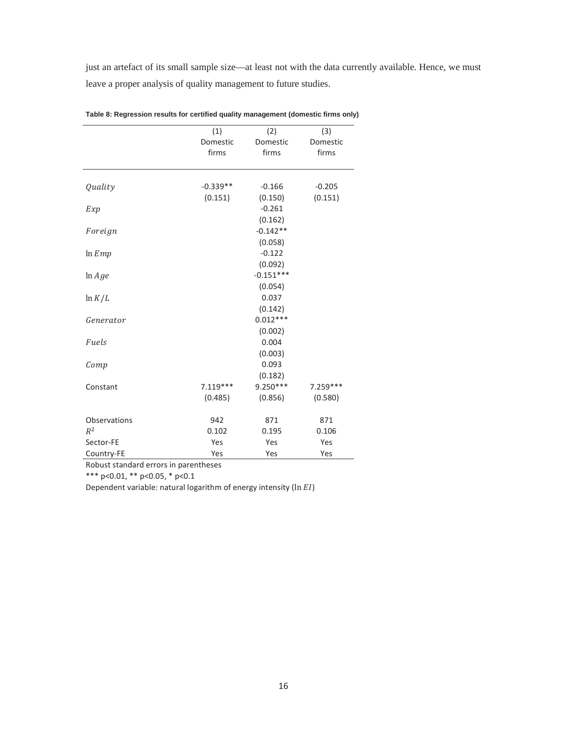just an artefact of its small sample size—at least not with the data currently available. Hence, we must leave a proper analysis of quality management to future studies.

|              | (1)        | (2)         | (3)       |
|--------------|------------|-------------|-----------|
|              | Domestic   | Domestic    | Domestic  |
|              | firms      | firms       | firms     |
|              |            |             |           |
|              |            |             |           |
| Quality      | $-0.339**$ | $-0.166$    | $-0.205$  |
|              | (0.151)    | (0.150)     | (0.151)   |
| Exp          |            | $-0.261$    |           |
|              |            | (0.162)     |           |
| Foreign      |            | $-0.142**$  |           |
|              |            | (0.058)     |           |
| ln Emp       |            | $-0.122$    |           |
|              |            | (0.092)     |           |
| ln Age       |            | $-0.151***$ |           |
|              |            | (0.054)     |           |
| $\ln K/L$    |            | 0.037       |           |
|              |            | (0.142)     |           |
| Generator    |            | $0.012***$  |           |
|              |            | (0.002)     |           |
| Fuels        |            | 0.004       |           |
|              |            | (0.003)     |           |
| Comp         |            | 0.093       |           |
|              |            | (0.182)     |           |
| Constant     | $7.119***$ | $9.250***$  | 7.259 *** |
|              | (0.485)    | (0.856)     | (0.580)   |
| Observations | 942        | 871         | 871       |
| $R^2$        | 0.102      | 0.195       | 0.106     |
| Sector-FE    | Yes        | Yes         | Yes       |
| Country-FE   | Yes        | Yes         | Yes       |

**Table 8: Regression results for certified quality management (domestic firms only)** 

Robust standard errors in parentheses

 $***$  p<0.01,  $**$  p<0.05,  $*$  p<0.1

Dependent variable: natural logarithm of energy intensity (ln EI)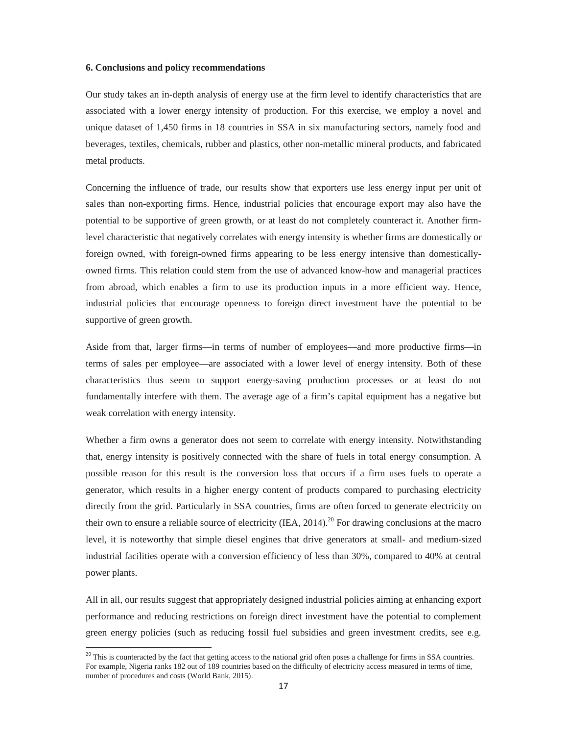#### **6. Conclusions and policy recommendations**

Our study takes an in-depth analysis of energy use at the firm level to identify characteristics that are associated with a lower energy intensity of production. For this exercise, we employ a novel and unique dataset of 1,450 firms in 18 countries in SSA in six manufacturing sectors, namely food and beverages, textiles, chemicals, rubber and plastics, other non-metallic mineral products, and fabricated metal products.

Concerning the influence of trade, our results show that exporters use less energy input per unit of sales than non-exporting firms. Hence, industrial policies that encourage export may also have the potential to be supportive of green growth, or at least do not completely counteract it. Another firmlevel characteristic that negatively correlates with energy intensity is whether firms are domestically or foreign owned, with foreign-owned firms appearing to be less energy intensive than domesticallyowned firms. This relation could stem from the use of advanced know-how and managerial practices from abroad, which enables a firm to use its production inputs in a more efficient way. Hence, industrial policies that encourage openness to foreign direct investment have the potential to be supportive of green growth.

Aside from that, larger firms—in terms of number of employees—and more productive firms—in terms of sales per employee—are associated with a lower level of energy intensity. Both of these characteristics thus seem to support energy-saving production processes or at least do not fundamentally interfere with them. The average age of a firm's capital equipment has a negative but weak correlation with energy intensity.

Whether a firm owns a generator does not seem to correlate with energy intensity. Notwithstanding that, energy intensity is positively connected with the share of fuels in total energy consumption. A possible reason for this result is the conversion loss that occurs if a firm uses fuels to operate a generator, which results in a higher energy content of products compared to purchasing electricity directly from the grid. Particularly in SSA countries, firms are often forced to generate electricity on their own to ensure a reliable source of electricity (IEA,  $2014$ ).<sup>20</sup> For drawing conclusions at the macro level, it is noteworthy that simple diesel engines that drive generators at small- and medium-sized industrial facilities operate with a conversion efficiency of less than 30%, compared to 40% at central power plants.

All in all, our results suggest that appropriately designed industrial policies aiming at enhancing export performance and reducing restrictions on foreign direct investment have the potential to complement green energy policies (such as reducing fossil fuel subsidies and green investment credits, see e.g.

<sup>&</sup>lt;sup>20</sup> This is counteracted by the fact that getting access to the national grid often poses a challenge for firms in SSA countries. For example, Nigeria ranks 182 out of 189 countries based on the difficulty of electricity access measured in terms of time, number of procedures and costs (World Bank, 2015).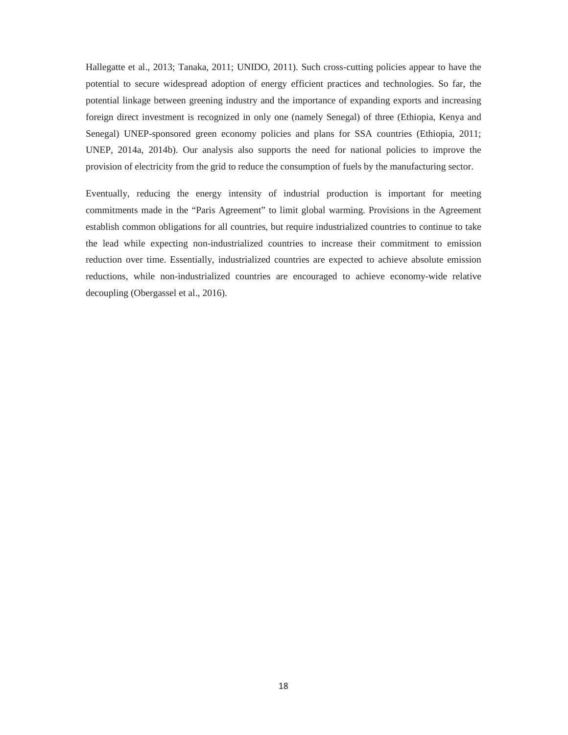Hallegatte et al., 2013; Tanaka, 2011; UNIDO, 2011). Such cross-cutting policies appear to have the potential to secure widespread adoption of energy efficient practices and technologies. So far, the potential linkage between greening industry and the importance of expanding exports and increasing foreign direct investment is recognized in only one (namely Senegal) of three (Ethiopia, Kenya and Senegal) UNEP-sponsored green economy policies and plans for SSA countries (Ethiopia, 2011; UNEP, 2014a, 2014b). Our analysis also supports the need for national policies to improve the provision of electricity from the grid to reduce the consumption of fuels by the manufacturing sector.

Eventually, reducing the energy intensity of industrial production is important for meeting commitments made in the "Paris Agreement" to limit global warming. Provisions in the Agreement establish common obligations for all countries, but require industrialized countries to continue to take the lead while expecting non-industrialized countries to increase their commitment to emission reduction over time. Essentially, industrialized countries are expected to achieve absolute emission reductions, while non-industrialized countries are encouraged to achieve economy-wide relative decoupling (Obergassel et al., 2016).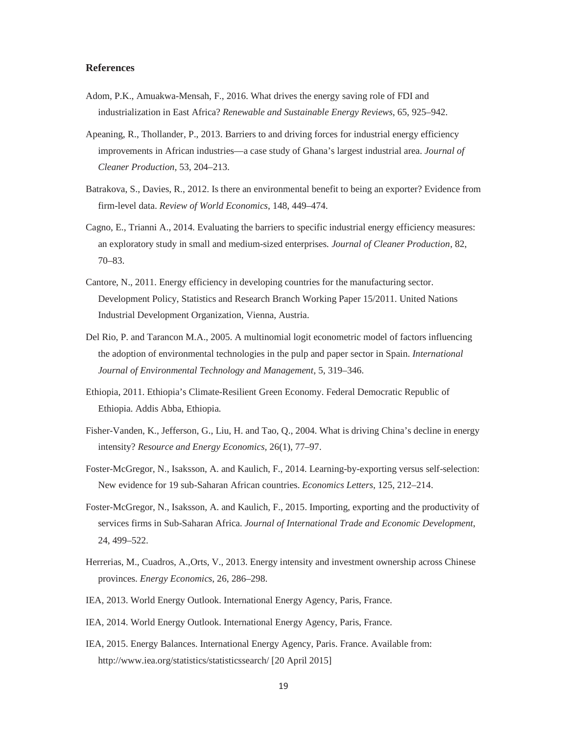#### **References**

- Adom, P.K., Amuakwa-Mensah, F., 2016. What drives the energy saving role of FDI and industrialization in East Africa? *Renewable and Sustainable Energy Reviews*, 65, 925–942.
- Apeaning, R., Thollander, P., 2013. Barriers to and driving forces for industrial energy efficiency improvements in African industries—a case study of Ghana's largest industrial area. *Journal of Cleaner Production*, 53, 204–213.
- Batrakova, S., Davies, R., 2012. Is there an environmental benefit to being an exporter? Evidence from firm-level data. *Review of World Economics*, 148, 449–474.
- Cagno, E., Trianni A., 2014. Evaluating the barriers to specific industrial energy efficiency measures: an exploratory study in small and medium-sized enterprises. *Journal of Cleaner Production*, 82, 70–83.
- Cantore, N., 2011. Energy efficiency in developing countries for the manufacturing sector. Development Policy, Statistics and Research Branch Working Paper 15/2011. United Nations Industrial Development Organization, Vienna, Austria.
- Del Rio, P. and Tarancon M.A., 2005. A multinomial logit econometric model of factors influencing the adoption of environmental technologies in the pulp and paper sector in Spain. *International Journal of Environmental Technology and Management*, 5, 319–346.
- Ethiopia, 2011. Ethiopia's Climate-Resilient Green Economy. Federal Democratic Republic of Ethiopia. Addis Abba, Ethiopia.
- Fisher-Vanden, K., Jefferson, G., Liu, H. and Tao, Q., 2004. What is driving China's decline in energy intensity? *Resource and Energy Economics,* 26(1), 77–97.
- Foster-McGregor, N., Isaksson, A. and Kaulich, F., 2014. Learning-by-exporting versus self-selection: New evidence for 19 sub-Saharan African countries. *Economics Letters*, 125, 212–214.
- Foster-McGregor, N., Isaksson, A. and Kaulich, F., 2015. Importing, exporting and the productivity of services firms in Sub-Saharan Africa. *Journal of International Trade and Economic Development*, 24, 499–522.
- Herrerias, M., Cuadros, A.,Orts, V., 2013. Energy intensity and investment ownership across Chinese provinces. *Energy Economics*, 26, 286–298.
- IEA, 2013. World Energy Outlook. International Energy Agency, Paris, France.
- IEA, 2014. World Energy Outlook. International Energy Agency, Paris, France.
- IEA, 2015. Energy Balances. International Energy Agency, Paris. France. Available from: http://www.iea.org/statistics/statisticssearch/ [20 April 2015]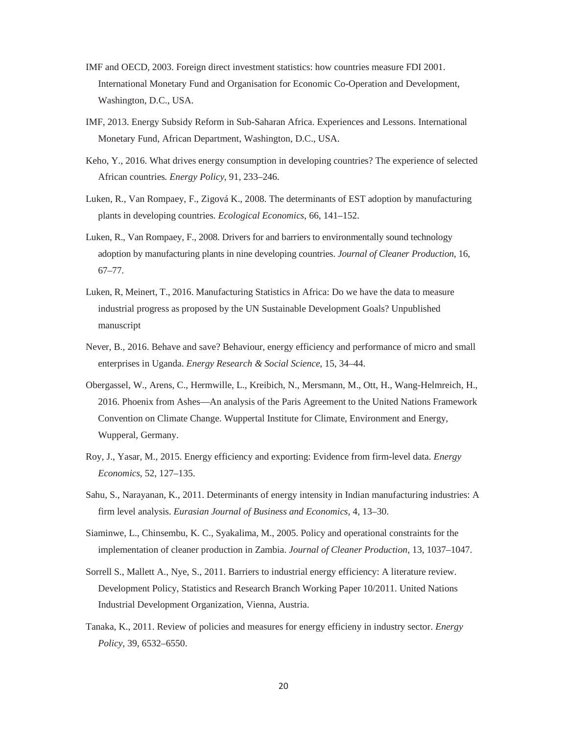- IMF and OECD, 2003. Foreign direct investment statistics: how countries measure FDI 2001. International Monetary Fund and Organisation for Economic Co-Operation and Development, Washington, D.C., USA.
- IMF, 2013. Energy Subsidy Reform in Sub-Saharan Africa. Experiences and Lessons. International Monetary Fund, African Department, Washington, D.C., USA.
- Keho, Y., 2016. What drives energy consumption in developing countries? The experience of selected African countries*. Energy Policy*, 91, 233–246.
- Luken, R., Van Rompaey, F., Zigová K., 2008. The determinants of EST adoption by manufacturing plants in developing countries. *Ecological Economics*, 66, 141–152.
- Luken, R., Van Rompaey, F., 2008. Drivers for and barriers to environmentally sound technology adoption by manufacturing plants in nine developing countries. *Journal of Cleaner Production*, 16, 67–77.
- Luken, R, Meinert, T., 2016. Manufacturing Statistics in Africa: Do we have the data to measure industrial progress as proposed by the UN Sustainable Development Goals? Unpublished manuscript
- Never, B., 2016. Behave and save? Behaviour, energy efficiency and performance of micro and small enterprises in Uganda. *Energy Research & Social Science*, 15, 34–44.
- Obergassel, W., Arens, C., Hermwille, L., Kreibich, N., Mersmann, M., Ott, H., Wang-Helmreich, H., 2016. Phoenix from Ashes—An analysis of the Paris Agreement to the United Nations Framework Convention on Climate Change. Wuppertal Institute for Climate, Environment and Energy, Wupperal, Germany.
- Roy, J., Yasar, M., 2015. Energy efficiency and exporting: Evidence from firm-level data. *Energy Economics*, 52, 127–135.
- Sahu, S., Narayanan, K., 2011. Determinants of energy intensity in Indian manufacturing industries: A firm level analysis. *Eurasian Journal of Business and Economics*, 4, 13–30.
- Siaminwe, L., Chinsembu, K. C., Syakalima, M., 2005. Policy and operational constraints for the implementation of cleaner production in Zambia. *Journal of Cleaner Production*, 13, 1037–1047.
- Sorrell S., Mallett A., Nye, S., 2011. Barriers to industrial energy efficiency: A literature review. Development Policy, Statistics and Research Branch Working Paper 10/2011. United Nations Industrial Development Organization, Vienna, Austria.
- Tanaka, K., 2011. Review of policies and measures for energy efficieny in industry sector. *Energy Policy*, 39, 6532–6550.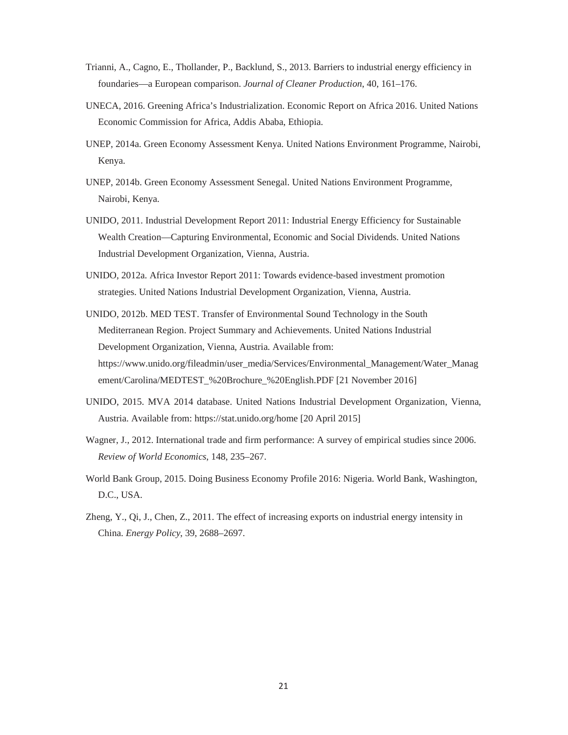- Trianni, A., Cagno, E., Thollander, P., Backlund, S., 2013. Barriers to industrial energy efficiency in foundaries—a European comparison. *Journal of Cleaner Production*, 40, 161–176.
- UNECA, 2016. Greening Africa's Industrialization. Economic Report on Africa 2016. United Nations Economic Commission for Africa, Addis Ababa, Ethiopia.
- UNEP, 2014a. Green Economy Assessment Kenya. United Nations Environment Programme, Nairobi, Kenya.
- UNEP, 2014b. Green Economy Assessment Senegal. United Nations Environment Programme, Nairobi, Kenya.
- UNIDO, 2011. Industrial Development Report 2011: Industrial Energy Efficiency for Sustainable Wealth Creation—Capturing Environmental, Economic and Social Dividends. United Nations Industrial Development Organization, Vienna, Austria.
- UNIDO, 2012a. Africa Investor Report 2011: Towards evidence-based investment promotion strategies. United Nations Industrial Development Organization, Vienna, Austria.
- UNIDO, 2012b. MED TEST. Transfer of Environmental Sound Technology in the South Mediterranean Region. Project Summary and Achievements. United Nations Industrial Development Organization, Vienna, Austria. Available from: https://www.unido.org/fileadmin/user\_media/Services/Environmental\_Management/Water\_Manag ement/Carolina/MEDTEST\_%20Brochure\_%20English.PDF [21 November 2016]
- UNIDO, 2015. MVA 2014 database. United Nations Industrial Development Organization, Vienna, Austria. Available from: https://stat.unido.org/home [20 April 2015]
- Wagner, J., 2012. International trade and firm performance: A survey of empirical studies since 2006. *Review of World Economics*, 148, 235–267.
- World Bank Group, 2015. Doing Business Economy Profile 2016: Nigeria. World Bank, Washington, D.C., USA.
- Zheng, Y., Qi, J., Chen, Z., 2011. The effect of increasing exports on industrial energy intensity in China. *Energy Policy*, 39, 2688–2697.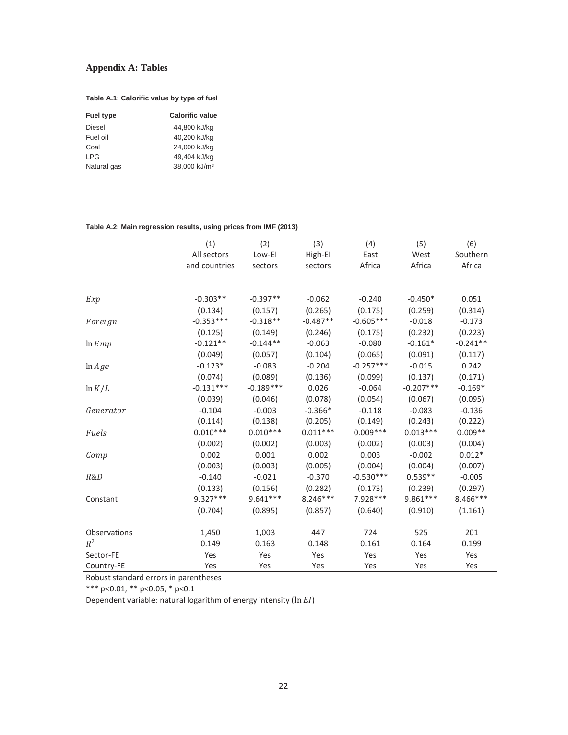### **Appendix A: Tables**

#### **Table A.1: Calorific value by type of fuel**

| <b>Fuel type</b> | <b>Calorific value</b>   |
|------------------|--------------------------|
| Diesel           | 44,800 kJ/kg             |
| Fuel oil         | 40,200 kJ/kg             |
| Coal             | 24,000 kJ/kg             |
| I PG             | 49,404 kJ/kg             |
| Natural gas      | 38,000 kJ/m <sup>3</sup> |
|                  |                          |

#### **Table A.2: Main regression results, using prices from IMF (2013)**

|              | (1)           | (2)         | (3)        | (4)         | (5)         | (6)        |
|--------------|---------------|-------------|------------|-------------|-------------|------------|
|              | All sectors   | Low-EI      | High-El    | East        | West        | Southern   |
|              | and countries | sectors     | sectors    | Africa      | Africa      | Africa     |
|              |               |             |            |             |             |            |
| Exp          | $-0.303**$    | $-0.397**$  | $-0.062$   | $-0.240$    | $-0.450*$   | 0.051      |
|              | (0.134)       | (0.157)     | (0.265)    | (0.175)     | (0.259)     | (0.314)    |
| Foreign      | $-0.353***$   | $-0.318**$  | $-0.487**$ | $-0.605***$ | $-0.018$    | $-0.173$   |
|              | (0.125)       | (0.149)     | (0.246)    | (0.175)     | (0.232)     | (0.223)    |
| ln Emp       | $-0.121**$    | $-0.144**$  | $-0.063$   | $-0.080$    | $-0.161*$   | $-0.241**$ |
|              | (0.049)       | (0.057)     | (0.104)    | (0.065)     | (0.091)     | (0.117)    |
| ln Age       | $-0.123*$     | $-0.083$    | $-0.204$   | $-0.257***$ | $-0.015$    | 0.242      |
|              | (0.074)       | (0.089)     | (0.136)    | (0.099)     | (0.137)     | (0.171)    |
| $\ln K/L$    | $-0.131***$   | $-0.189***$ | 0.026      | $-0.064$    | $-0.207***$ | $-0.169*$  |
|              | (0.039)       | (0.046)     | (0.078)    | (0.054)     | (0.067)     | (0.095)    |
| Generator    | $-0.104$      | $-0.003$    | $-0.366*$  | $-0.118$    | $-0.083$    | $-0.136$   |
|              | (0.114)       | (0.138)     | (0.205)    | (0.149)     | (0.243)     | (0.222)    |
| Fuels        | $0.010***$    | $0.010***$  | $0.011***$ | $0.009***$  | $0.013***$  | $0.009**$  |
|              | (0.002)       | (0.002)     | (0.003)    | (0.002)     | (0.003)     | (0.004)    |
| Comp         | 0.002         | 0.001       | 0.002      | 0.003       | $-0.002$    | $0.012*$   |
|              | (0.003)       | (0.003)     | (0.005)    | (0.004)     | (0.004)     | (0.007)    |
| R&D          | $-0.140$      | $-0.021$    | $-0.370$   | $-0.530***$ | $0.539**$   | $-0.005$   |
|              | (0.133)       | (0.156)     | (0.282)    | (0.173)     | (0.239)     | (0.297)    |
| Constant     | $9.327***$    | $9.641***$  | $8.246***$ | 7.928 ***   | $9.861***$  | 8.466***   |
|              | (0.704)       | (0.895)     | (0.857)    | (0.640)     | (0.910)     | (1.161)    |
|              |               |             |            |             |             |            |
| Observations | 1,450         | 1,003       | 447        | 724         | 525         | 201        |
| $R^2$        | 0.149         | 0.163       | 0.148      | 0.161       | 0.164       | 0.199      |
| Sector-FE    | Yes           | Yes         | Yes        | Yes         | Yes         | Yes        |
| Country-FE   | Yes           | Yes         | Yes        | Yes         | Yes         | Yes        |

Robust standard errors in parentheses

 $***$  p<0.01,  $**$  p<0.05,  $*$  p<0.1

Dependent variable: natural logarithm of energy intensity (ln EI)